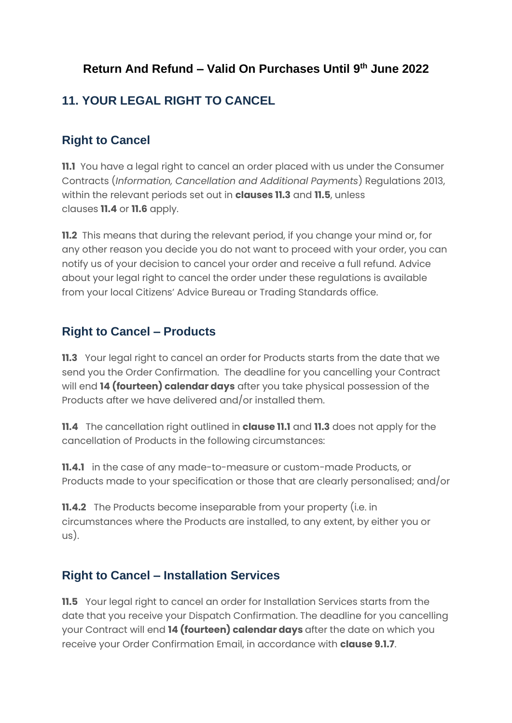## **Return And Refund – Valid On Purchases Until 9th June 2022**

# **11. YOUR LEGAL RIGHT TO CANCEL**

## **Right to Cancel**

**11.1** You have a legal right to cancel an order placed with us under the Consumer Contracts (*Information, Cancellation and Additional Payments*) Regulations 2013, within the relevant periods set out in **clauses 11.3** and **11.5**, unless clauses **11.4** or **11.6** apply.

**11.2** This means that during the relevant period, if you change your mind or, for any other reason you decide you do not want to proceed with your order, you can notify us of your decision to cancel your order and receive a full refund. Advice about your legal right to cancel the order under these regulations is available from your local Citizens' Advice Bureau or Trading Standards office.

### **Right to Cancel – Products**

**11.3** Your legal right to cancel an order for Products starts from the date that we send you the Order Confirmation. The deadline for you cancelling your Contract will end **14 (fourteen) calendar days** after you take physical possession of the Products after we have delivered and/or installed them.

**11.4** The cancellation right outlined in **clause 11.1** and **11.3** does not apply for the cancellation of Products in the following circumstances:

**11.4.1** in the case of any made-to-measure or custom-made Products, or Products made to your specification or those that are clearly personalised; and/or

**11.4.2** The Products become inseparable from your property (i.e. in circumstances where the Products are installed, to any extent, by either you or us).

#### **Right to Cancel – Installation Services**

**11.5** Your legal right to cancel an order for Installation Services starts from the date that you receive your Dispatch Confirmation. The deadline for you cancelling your Contract will end **14 (fourteen) calendar days** after the date on which you receive your Order Confirmation Email, in accordance with **clause 9.1.7**.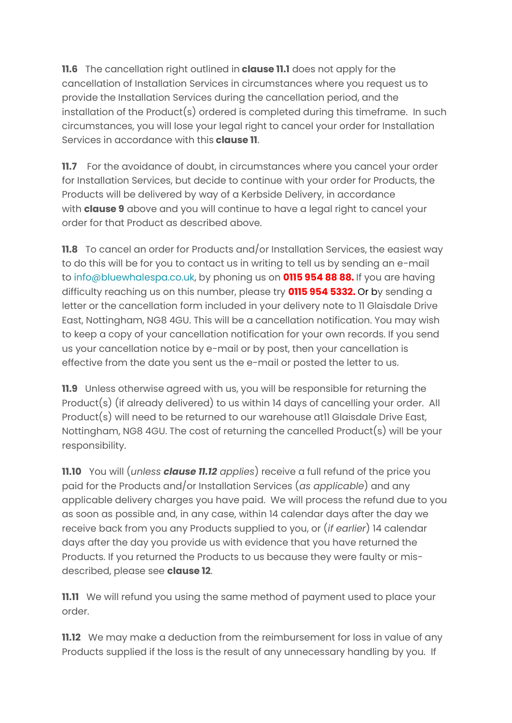**11.6** The cancellation right outlined in **clause 11.1** does not apply for the cancellation of Installation Services in circumstances where you request us to provide the Installation Services during the cancellation period, and the installation of the Product(s) ordered is completed during this timeframe. In such circumstances, you will lose your legal right to cancel your order for Installation Services in accordance with this **clause 11**.

**11.7** For the avoidance of doubt, in circumstances where you cancel your order for Installation Services, but decide to continue with your order for Products, the Products will be delivered by way of a Kerbside Delivery, in accordance with **clause 9** above and you will continue to have a legal right to cancel your order for that Product as described above.

**11.8** To cancel an order for Products and/or Installation Services, the easiest way to do this will be for you to contact us in writing to tell us by sending an e-mail to [info@bluewhalespa.co.uk,](mailto:info@bluewhalespa.co.uk) by phoning us on **0115 954 88 88.** If you are having difficulty reaching us on this number, please try **0115 954 5332.** Or by sending a letter or the cancellation form included in your delivery note to 11 Glaisdale Drive East, Nottingham, NG8 4GU. This will be a cancellation notification. You may wish to keep a copy of your cancellation notification for your own records. If you send us your cancellation notice by e-mail or by post, then your cancellation is effective from the date you sent us the e-mail or posted the letter to us.

**11.9** Unless otherwise agreed with us, you will be responsible for returning the Product(s) (if already delivered) to us within 14 days of cancelling your order. All Product(s) will need to be returned to our warehouse atll Glaisdale Drive East, Nottingham, NG8 4GU. The cost of returning the cancelled Product(s) will be your responsibility.

**11.10** You will (*unless clause 11.12 applies*) receive a full refund of the price you paid for the Products and/or Installation Services (*as applicable*) and any applicable delivery charges you have paid. We will process the refund due to you as soon as possible and, in any case, within 14 calendar days after the day we receive back from you any Products supplied to you, or (*if earlier*) 14 calendar days after the day you provide us with evidence that you have returned the Products. If you returned the Products to us because they were faulty or misdescribed, please see **clause 12**.

**11.11** We will refund you using the same method of payment used to place your order.

**11.12** We may make a deduction from the reimbursement for loss in value of any Products supplied if the loss is the result of any unnecessary handling by you. If